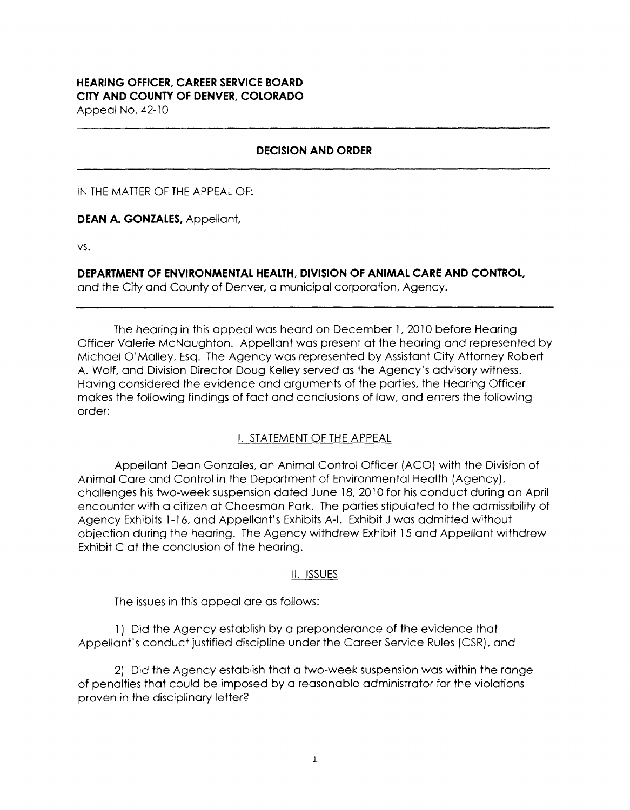#### **HEARING OFFICER, CAREER SERVICE BOARD CITY AND COUNTY OF DENVER, COLORADO**  Appeal No. 42-10

**DECISION AND ORDER** 

IN THE MATTER OF THE APPEAL OF:

**DEAN A. GONZALES,** Appellant,

vs.

**DEPARTMENT OF ENVIRONMENTAL HEALTH, DIVISION OF ANIMAL CARE AND CONTROL,** 

and the City and County of Denver, a municipal corporation, Agency.

The hearing in this appeal was heard on December 1, 2010 before Hearing Officer Valerie McNaughton. Appellant was present at the hearing and represented by Michael O'Malley, Esq. The Agency was represented by Assistant City Attorney Robert A. Wolf, and Division Director Doug Kelley served as the Agency's advisory witness. Having considered the evidence and arguments of the parties, the Hearing Officer makes the following findings of fact and conclusions of law, and enters the following order:

### I. STATEMENT OF THE APPEAL

Appellant Dean Gonzales, an Animal Control Officer (ACO) with the Division of Animal Care and Control in the Department of Environmental Health (Agency), challenges his two-week suspension dated June 18, 2010 for his conduct during an April encounter with a citizen at Cheesman Park. The parties stipulated to the admissibility of Agency Exhibits 1-16, and Appellant's Exhibits A-1. Exhibit J was admitted without objection during the hearing. The Agency withdrew Exhibit 15 and Appellant withdrew Exhibit C at the conclusion of the hearing.

#### II. ISSUES

The issues in this appeal are as follows:

1 ) Did the Agency establish by a preponderance of the evidence that Appellant's conduct justified discipline under the Career Service Rules (CSR), and

2) Did the Agency establish that a two-week suspension was within the range of penalties that could be imposed by a reasonable administrator for the violations proven in the disciplinary letter?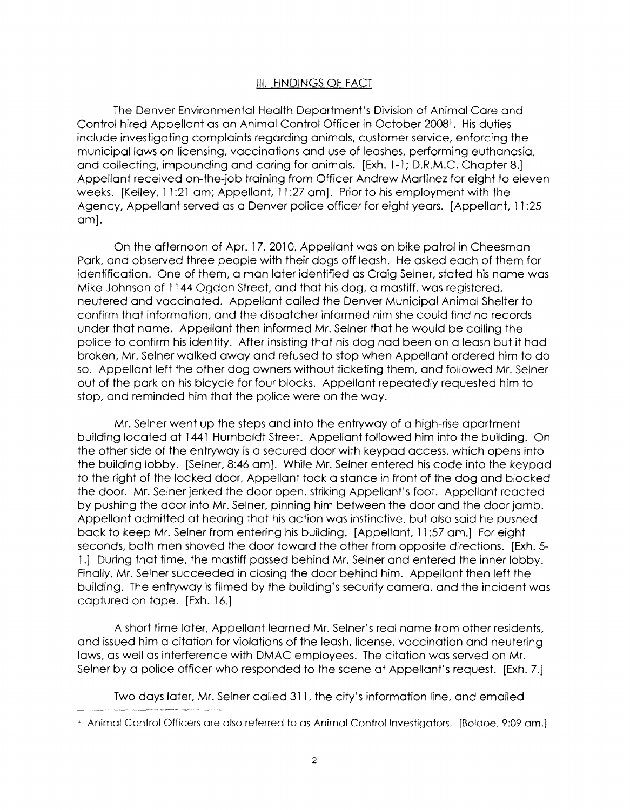## III. FINDINGS OF FACT

The Denver Environmental Health Department's Division of Animal Care and Control hired Appellant as an Animal Control Officer in October 2008<sup>1</sup>. His duties include investigating complaints regarding animals, customer service, enforcing the municipal laws on licensing, vaccinations and use of leashes, performing euthanasia, and collecting, impounding and caring for animals. [Exh. 1-1; D.R.M.C. Chapter 8.] Appellant received on-the-job training from Officer Andrew Martinez for eight to eleven weeks. [Kelley, 11:21 am; Appellant, 11:27 am]. Prior to his employment with the Agency, Appellant served as a Denver police officer for eight years. [Appellant, 11 :25 am].

On the afternoon of Apr. 17, 2010, Appellant was on bike patrol in Cheesman Park, and observed three people with their dogs off leash. He asked each of them for identification. One of them, a man later identified as Craig Seiner, stated his name was Mike Johnson of 1144 Ogden Street, and that his dog, a mastiff, was registered, neutered and vaccinated. Appellant called the Denver Municipal Animal Shelter to confirm that information, and the dispatcher informed him she could find no records under that name. Appellant then informed Mr. Seiner that he would be calling the police to confirm his identity. After insisting that his dog had been on a leash but it had broken, Mr. Seiner walked away and refused to stop when Appellant ordered him to do so. Appellant left the other dog owners without ticketing them, and followed Mr. Seiner out of the park on his bicycle for four blocks. Appellant repeatedly requested him to stop, and reminded him that the police were on the way.

Mr. Seiner went up the steps and into the entryway of a high-rise apartment building located at 1441 Humboldt Street. Appellant followed him into the building. On the other side of the entryway is a secured door with keypad access, which opens into the building lobby. [Seiner, 8:46 am]. While Mr. Seiner entered his code into the keypad to the right of the locked door, Appellant took a stance in front of the dog and blocked the door. Mr. Seiner jerked the door open, striking Appellant's foot. Appellant reacted by pushing the door into Mr. Seiner, pinning him between the door and the door jamb. Appellant admitted at hearing that his action was instinctive, but also said he pushed back to keep Mr. Seiner from entering his building. [Appellant, 11 :57 am.] For eight seconds, both men shoved the door toward the other from opposite directions. [Exh. 5- 1.] During that time, the mastiff passed behind Mr. Seiner and entered the inner lobby. Finally, Mr. Seiner succeeded in closing the door behind him. Appellant then left the building. The entryway is filmed by the building's security camera, and the incident was captured on tape. [Exh. 16.]

A short time later, Appellant learned Mr. Seiner's real name from other residents, and issued him a citation for violations of the leash, license, vaccination and neutering laws, as well as interference with DMAC employees. The citation was served on Mr. Selner by a police officer who responded to the scene at Appellant's request. [Exh. 7.]

Two days later, Mr. Seiner called 311, the city's information line, and emailed

<sup>&</sup>lt;sup>1</sup> Animal Control Officers are also referred to as Animal Control Investigators. [Boldoe, 9:09 am.]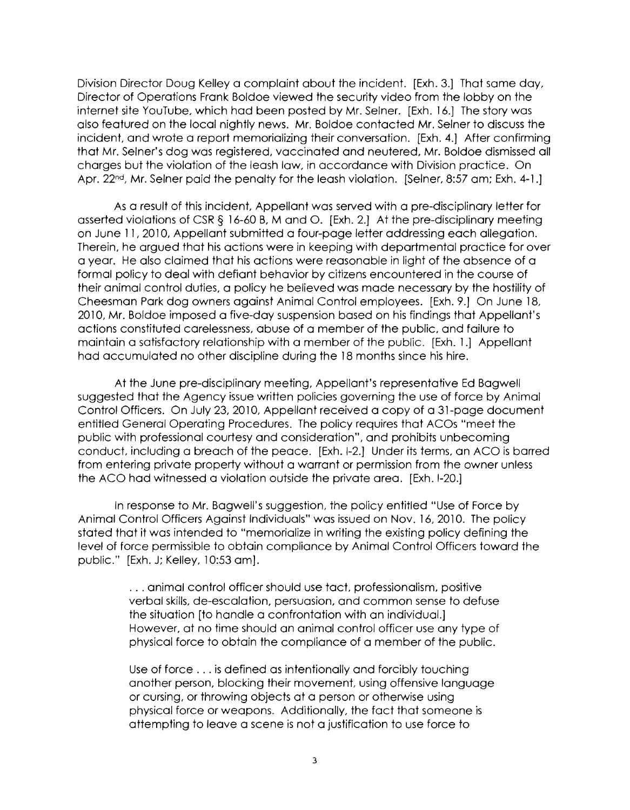Division Director Doug Kelley a complaint about the incident. [Exh. 3.) That same day, Director of Operations Frank Boldoe viewed the security video from the lobby on the internet site YouTube, which had been posted by Mr. Seiner. [Exh. 16.] The story was also featured on the local nightly news. Mr. Boldoe contacted Mr. Seiner to discuss the incident, and wrote a report memorializing their conversation. [Exh. 4.J After confirming that Mr. Seiner's dog was registered, vaccinated and neutered, Mr. Boldoe dismissed all charges but the violation of the leash law, in accordance with Division practice. On Apr. 22<sup>nd</sup>, Mr. Selner paid the penalty for the leash violation. [Selner, 8:57 am; Exh. 4-1.]

As a result of this incident, Appellant was served with a pre-disciplinary letter for asserted violations of CSR§ 16-60 8, Mand 0. [Exh. 2.] At the pre-disciplinary meeting on June 11, 2010, Appellant submitted a four-page letter addressing each allegation. Therein, he argued that his actions were in keeping with departmental practice for over a year. He also claimed that his actions were reasonable in light of the absence of a formal policy to deal with defiant behavior by citizens encountered in the course of their animal control duties, a policy he believed was made necessary by the hostility of Cheesman Park dog owners against Animal Control employees. [Exh. 9.] On June 18, 2010, Mr. Boldoe imposed a five-day suspension based on his findings that Appellant's actions constituted carelessness, abuse of a member of the public, and failure to maintain a satisfactory relationship with a member of the public. [Exh. 1.] Appellant had accumulated no other discipline during the 18 months since his hire.

At the June pre-disciplinary meeting, Appellant's representative Ed Bagwell suggested that the Agency issue written policies governing the use of force by Animal Control Officers. On July 23, 2010, Appellant received a copy of a 31-page document entitled General Operating Procedures. The policy requires that ACOs "meet the public with professional courtesy and consideration", and prohibits unbecoming conduct, including a breach of the peace. [Exh. 1-2.] Under its terms, an ACO is barred from entering private property without a warrant or permission from the owner unless the ACO had witnessed a violation outside the private area. [Exh. 1-20.]

In response to Mr. Bagwell's suggestion, the policy entitled "Use of Force by Animal Control Officers Against Individuals" was issued on Nov. 16, 2010. The policy stated that it was intended to "memorialize in writing the existing policy defining the level of force permissible to obtain compliance by Animal Control Officers toward the public." [Exh. J; Kelley, 10:53 am] .

> . . . animal control officer should use tact, professionalism, positive verbal skills, de-escalation, persuasion, and common sense to defuse the situation [to handle a confrontation with an individual.] However, at no time should an animal control officer use any type of physical force to obtain the compliance of a member of the public.

Use of force ... is defined as intentionally and forcibly touching another person, blocking their movement, using offensive language or cursing, or throwing objects at a person or otherwise using physical force or weapons. Additionally, the fact that someone is attempting to leave a scene is not a justification to use force to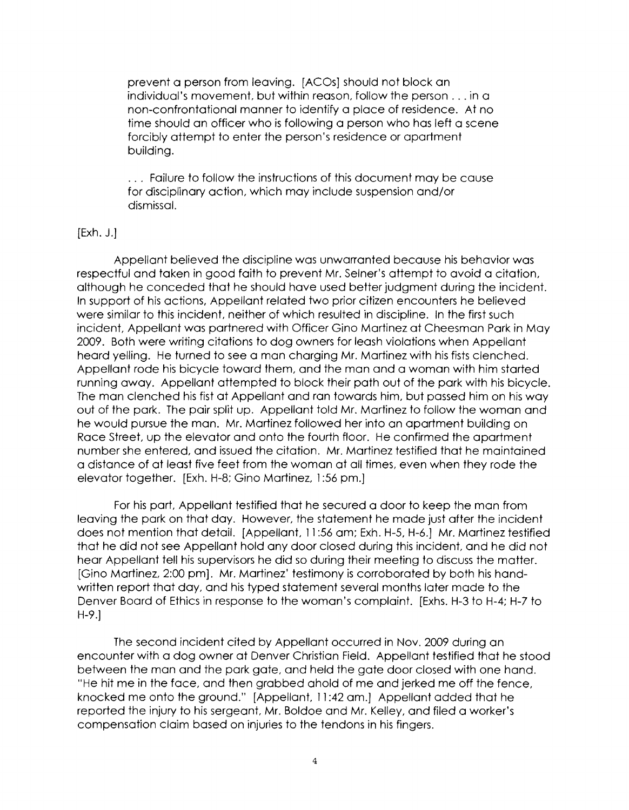prevent a person from leaving. [ACOs} should not block an individual's movement, but within reason, follow the person ... in a non-confrontational manner to identify a place of residence. At no time should an officer who is following a person who has left a scene forcibly attempt to enter the person's residence or apartment building.

. . . Failure to follow the instructions of this document may be cause for disciplinary action, which may include suspension and/or dismissal.

#### [Exh. J.J

Appellant believed the discipline was unwarranted because his behavior was respectful and taken in good faith to prevent Mr. Seiner's attempt to avoid a citation, although he conceded that he should have used better judgment during the incident. In support of his actions, Appellant related two prior citizen encounters he believed were similar to this incident, neither of which resulted in discipline. In the first such incident, Appellant was partnered with Officer Gino Martinez at Cheesman Park in May 2009. Both were writing citations to dog owners for leash violations when Appellant heard yelling. He turned to see a man charging Mr. Martinez with his fists clenched. Appellant rode his bicycle toward them, and the man and a woman with him started running away. Appellant attempted to block their path out of the park with his bicycle. The man clenched his fist at Appellant and ran towards him, but passed him on his way out of the park. The pair split up. Appellant told Mr. Martinez to follow the woman and he would pursue the man. Mr. Martinez followed her into an apartment building on Race Street, up the elevator and onto the fourth floor. He confirmed the apartment number she entered, and issued the citation. Mr. Martinez testified that he maintained a distance of at least five feet from the woman at all times, even when they rode the elevator together. [Exh. H-8; Gino Martinez, 1:56 pm.]

For his part, Appellant testified that he secured a door to keep the man from leaving the park on that day. However, the statement he made just after the incident does not mention that detail. [Appellant, 11 :56 am; Exh. H-5, H-6.J Mr. Martinez testified that he did not see Appellant hold any door closed during this incident, and he did not hear Appellant tell his supervisors he did so during their meeting to discuss the matter. [Gino Martinez, 2:00 pm]. Mr. Martinez' testimony is corroborated by both his handwritten report that day, and his typed statement several months later made to the Denver Board of Ethics in response to the woman's complaint. [Exhs. H-3 to H-4; H-7 to H-9.J

The second incident cited by Appellant occurred in Nov. 2009 during an encounter with a dog owner at Denver Christian Field. Appellant testified that he stood between the man and the park gate, and held the gate door closed with one hand. "He hit me in the face, and then grabbed ahold of me and jerked me off the fence, knocked me onto the ground." [Appellant, 11 :42 am.] Appellant added that he reported the injury to his sergeant, Mr. Boldoe and Mr. Kelley, and filed a worker's compensation claim based on injuries to the tendons in his fingers.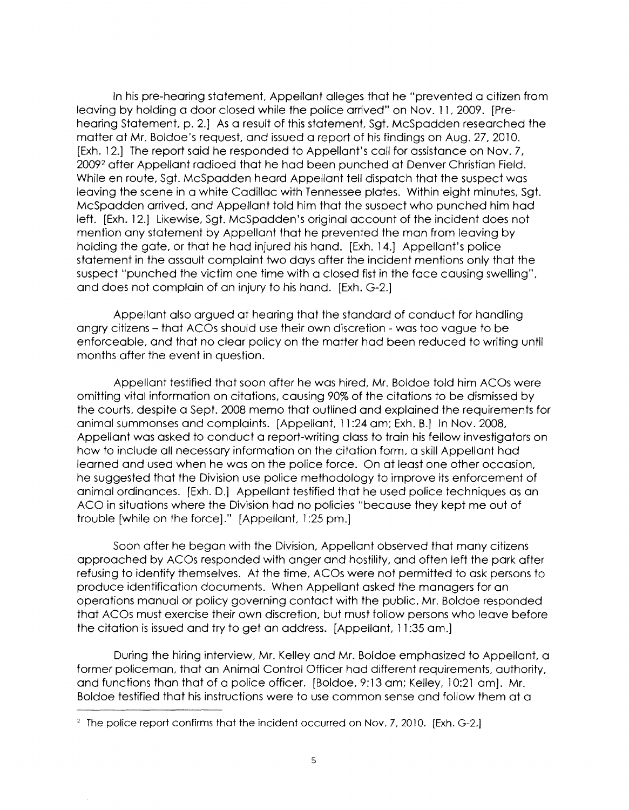In his pre-hearing statement, Appellant alleges that he "prevented a citizen from leaving by holding a door closed while the police arrived" on Nov. 11, 2009. [Prehearing Statement, p. 2.J As a result of this statement, Sgt. Mcspadden researched the matter at Mr. Boldoe's request, and issued a report of his findings on Aug. 27, 2010. [Exh. 12.] The report said he responded to Appellant's call for assistance on Nov. 7, 20092 after Appellant radioed that he had been punched at Denver Christian Field. While en route, Sgt. Mcspadden heard Appellant tell dispatch that the suspect was leaving the scene in a white Cadillac with Tennessee plates. Within eight minutes, Sgt. Mcspadden arrived, and Appellant told him that the suspect who punched him had left. [Exh. 12.] Likewise, Sgt. McSpadden's original account of the incident does not mention any statement by Appellant that he prevented the man from leaving by holding the gate, or that he had injured his hand. [Exh. 14.J Appellant's police statement in the assault complaint two days after the incident mentions only that the suspect "punched the victim one time with a closed fist in the face causing swelling", and does not complain of an injury to his hand. [Exh. G-2.]

Appellant also argued at hearing that the standard of conduct for handling angry citizens - that ACOs should use their own discretion - was too vague to be enforceable, and that no clear policy on the matter had been reduced to writing until months after the event in question.

Appellant testified that soon after he was hired, Mr. Boldoe told him ACOs were omitting vital information on citations, causing 90% of the citations to be dismissed by the courts, despite a Sept. 2008 memo that outlined and explained the requirements for animal summonses and complaints. [Appellant, 11 :24 am; Exh. B.] In Nov. 2008, Appellant was asked to conduct a report-writing class to train his fellow investigators on how to include all necessary information on the citation form, a skill Appellant had learned and used when he was on the police force. On at least one other occasion, he suggested that the Division use police methodology to improve its enforcement of animal ordinances. [Exh. D.] Appellant testified that he used police techniques as an ACO in situations where the Division had no policies "because they kept me out of trouble [while on the force]." [Appellant, 1 :25 pm.]

Soon after he began with the Division, Appellant observed that many citizens approached by ACOs responded with anger and hostility, and often left the park after refusing to identify themselves. At the time, ACOs were not permitted to ask persons to produce identification documents. When Appellant asked the managers for an operations manual or policy governing contact with the public, Mr. Boldoe responded that ACOs must exercise their own discretion, but must follow persons who leave before the citation is issued and try to get an address. [Appellant, 11 :35 am.]

During the hiring interview, Mr. Kelley and Mr. Boldoe emphasized to Appellant, a former policeman, that an Animal Control Officer had different requirements, authority, and functions than that of a police officer. [Boldoe, 9:13 am; Kelley, 10:21 am]. Mr. Boldoe testified that his instructions were to use common sense and follow them at a

<sup>&</sup>lt;sup>2</sup> The police report confirms that the incident occurred on Nov. 7, 2010. [Exh. G-2.]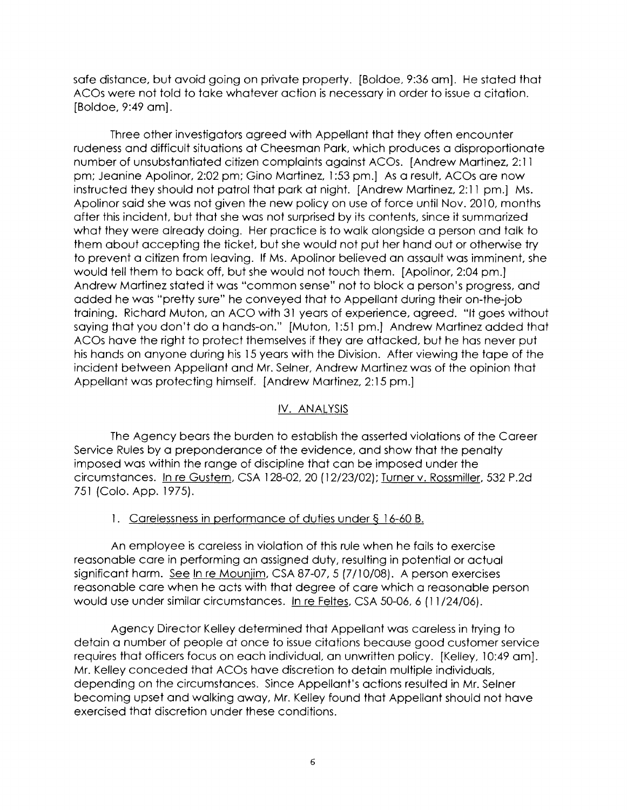safe distance, but avoid going on private property. [Boldoe, 9:36 am]. He stated that ACOs were not told to take whatever action is necessary in order to issue a citation. [Boldoe, 9:49 am].

Three other investigators agreed with Appellant that they often encounter rudeness and difficult situations at Cheesman Park, which produces a disproportionate number of unsubstantiated citizen complaints against AC Os. [Andrew Martinez, 2: 11 pm; Jeanine Apolinor, 2:02 pm; Gino Martinez, 1:53 pm.] As a result, ACOs are now instructed they should not patrol that park at night. [Andrew Martinez, 2: 11 pm.] Ms. Apolinar said she was not given the new policy on use of force until Nov. 2010, months after this incident, but that she was not surprised by its contents, since it summarized what they were already doing. Her practice is to walk alongside a person and talk to them about accepting the ticket, but she would not put her hand out or otherwise try to prevent a citizen from leaving. If Ms. Apolinor believed an assault was imminent, she would tell them to back off, but she would not touch them. [Apolinor, 2:04 pm.] Andrew Martinez stated it was "common sense" not to block a person's progress, and added he was "pretty sure" he conveyed that to Appellant during their on-the-job training. Richard Muton, an ACO with 31 years of experience, agreed. "It goes without saying that you don't do a hands-on." [Muton, 1:51 pm.] Andrew Martinez added that ACOs have the right to protect themselves if they are attacked, but he has never put his hands on anyone during his 15 years with the Division. After viewing the tape of the incident between Appellant and Mr. Seiner, Andrew Martinez was of the opinion that Appellant was protecting himself. [Andrew Martinez, 2: 15 pm.]

### IV. ANALYSIS

The Agency bears the burden to establish the asserted violations of the Career Service Rules by a preponderance of the evidence, and show that the penalty imposed was within the range of discipline that can be imposed under the circumstances. In re Gustern, CSA 128-02, 20 ( 12/23/02); Turner v. Rossmiller, 532 P.2d 751 (Colo. App. 1975).

### 1. Carelessness in performance of duties under§ 16-60 B.

An employee is careless in violation of this rule when he fails to exercise reasonable care in performing an assigned duty, resulting in potential or actual significant harm. See In re Mounjim, CSA 87-07, 5 (7/10/08). A person exercises reasonable care when he acts with that degree of care which a reasonable person would use under similar circumstances. In re Feltes, CSA 50-06, 6 (11 /24/06).

Agency Director Kelley determined that Appellant was careless in trying to detain a number of people at once to issue citations because good customer service requires that officers focus on each individual, an unwritten policy. [Kelley, 10:49 am]. Mr. Kelley conceded that ACOs have discretion to detain multiple individuals, depending on the circumstances. Since Appellant's actions resulted in Mr. Seiner becoming upset and walking away, Mr. Kelley found that Appellant should not have exercised that discretion under these conditions.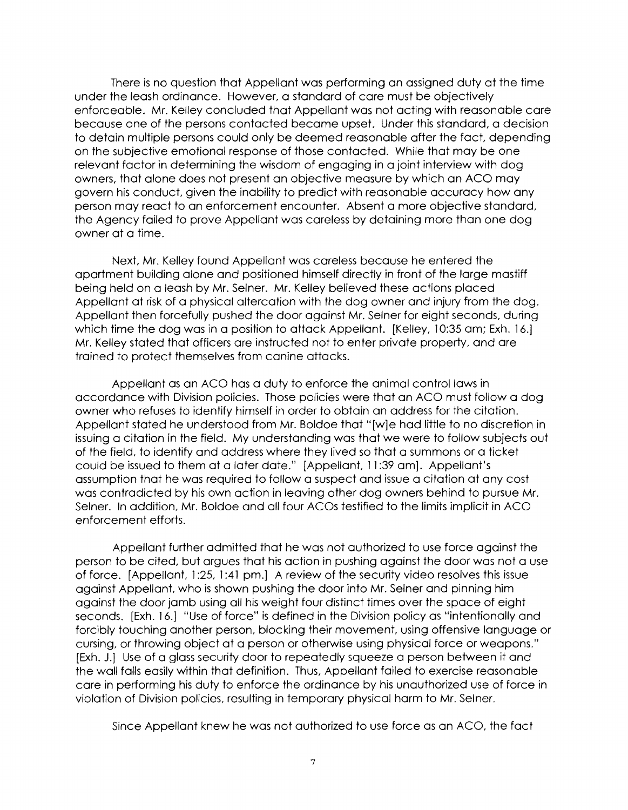There is no question that Appellant was performing an assigned duty at the time under the leash ordinance. However, a standard of care must be objectively enforceable. Mr. Kelley concluded that Appellant was not acting with reasonable care because one of the persons contacted became upset. Under this standard, a decision to detain multiple persons could only be deemed reasonable after the fact, depending on the subjective emotional response of those contacted. While that may be one relevant factor in determining the wisdom of engaging in a joint interview with dog owners, that alone does not present an objective measure by which an ACO may govern his conduct, given the inability to predict with reasonable accuracy how any person may react to an enforcement encounter. Absent a more objective standard, the Agency failed to prove Appellant was careless by detaining more than one dog owner at a time.

Next, Mr. Kelley found Appellant was careless because he entered the apartment building alone and positioned himself directly in front of the large mastiff being held on a leash by Mr. Seiner. Mr. Kelley believed these actions placed Appellant at risk of a physical altercation with the dog owner and injury from the dog. Appellant then forcefully pushed the door against Mr. Seiner for eight seconds, during which time the dog was in a position to attack Appellant. [Kelley, 10:35 am; Exh. 16.] Mr. Kelley stated that officers are instructed not to enter private property, and are trained to protect themselves from canine attacks.

Appellant as an ACO has a duty to enforce the animal control laws in accordance with Division policies. Those policies were that an ACO must follow a dog owner who refuses to identify himself in order to obtain an address for the citation. Appellant stated he understood from Mr. Boldoe that "[w]e had little to no discretion in issuing a citation in the field. My understanding was that we were to follow subjects out of the field, to identify and address where they lived so that a summons or a ticket could be issued to them at a later date." [Appellant, 11 :39 am]. Appellant's assumption that he was required to follow a suspect and issue a citation at any cost was contradicted by his own action in leaving other dog owners behind to pursue Mr. Seiner. In addition, Mr. Boldoe and all four ACOs testified to the limits implicit in ACO enforcement efforts.

Appellant further admitted that he was not authorized to use force against the person to be cited, but argues that his action in pushing against the door was not a use of force. [Appellant, 1:25, 1:41 pm.] A review of the security video resolves this issue against Appellant, who is shown pushing the door into Mr. Seiner and pinning him against the door jamb using all his weight four distinct times over the space of eight seconds. [Exh. 16.] "Use of force" is defined in the Division policy as "intentionally and forcibly touching another person, blocking their movement, using offensive language or cursing, or throwing object at a person or otherwise using physical force or weapons." [Exh. J.] Use of a glass security door to repeatedly squeeze a person between it and the wall falls easily within that definition. Thus, Appellant failed to exercise reasonable care in performing his duty to enforce the ordinance by his unauthorized use of force in violation of Division policies, resulting in temporary physical harm to Mr. Seiner.

Since Appellant knew he was not authorized to use force as an ACO, the fact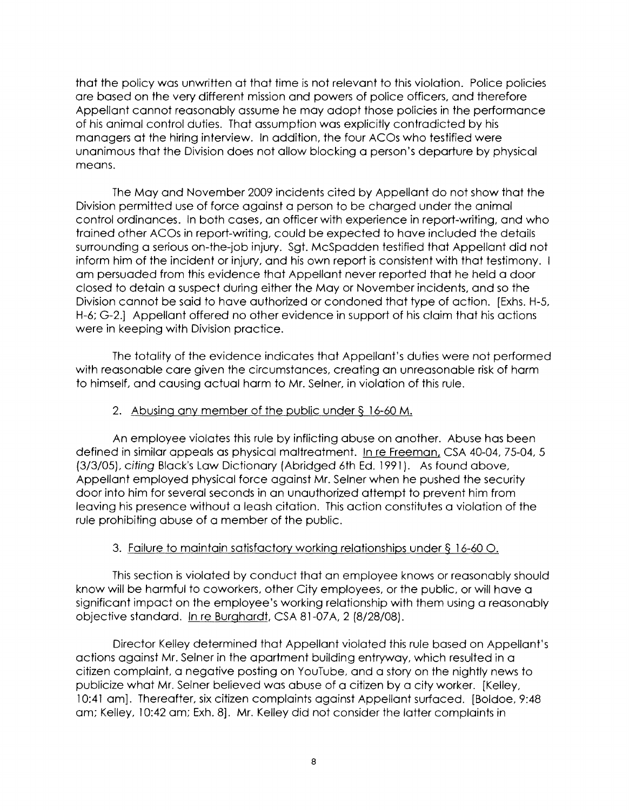that the policy was unwritten at that time is not relevant to this violation. Police policies are based on the very different mission and powers of police officers, and therefore Appellant cannot reasonably assume he may adopt those policies in the performance of his animal control duties. That assumption was explicitly contradicted by his managers at the hiring interview. In addition, the four ACOs who testified were unanimous that the Division does not allow blocking a person's departure by physical means.

The May and November 2009 incidents cited by Appellant do not show that the Division permitted use of force against a person to be charged under the animal control ordinances. In both cases, an officer with experience in report-writing, and who trained other ACOs in report-writing, could be expected to have included the details surrounding a serious on-the-job injury. Sgt. McSpadden testified that Appellant did not inform him of the incident or injury, and his own report is consistent with that testimony. I am persuaded from this evidence that Appellant never reported that he held a door closed to detain a suspect during either the May or November incidents, and so the Division cannot be said to have authorized or condoned that type of action. [Exhs. H-5, H-6; G-2.] Appellant offered no other evidence in support of his claim that his actions were in keeping with Division practice.

The totality of the evidence indicates that Appellant's duties were not performed with reasonable care given the circumstances, creating an unreasonable risk of harm to himself, and causing actual harm to Mr. Seiner, in violation of this rule.

### 2. Abusing any member of the public under§ 16-60 M.

An employee violates this rule by inflicting abuse on another. Abuse has been defined in similar appeals as physical maltreatment. In re Freeman, CSA 40-04, 75-04, 5 (3/3/05), citing Black's Law Dictionary (Abridged 6th Ed. 1991). As found above, Appellant employed physical force against Mr. Seiner when he pushed the security door into him for several seconds in an unauthorized attempt to prevent him from leaving his presence without a leash citation. This action constitutes a violation of the rule prohibiting abuse of a member of the public.

# 3. Failure to maintain satisfactory working relationships under§ 16-60 0.

This section is violated by conduct that an employee knows or reasonably should know will be harmful to coworkers, other City employees, or the public, or will have a significant impact on the employee's working relationship with them using a reasonably objective standard. In re Burghardt, CSA 81-07A, 2 (8/28/08).

Director Kelley determined that Appellant violated this rule based on Appellant's actions against Mr. Seiner in the apartment building entryway, which resulted in a citizen complaint, a negative posting on YouTube, and a story on the nightly news to publicize what Mr. Seiner believed was abuse of a citizen by a city worker. [Kelley, 10:41 am]. Thereafter, six citizen complaints against Appellant surfaced. [Boldoe, 9:48 am; Kelley, 10:42 am; Exh. 8]. Mr. Kelley did not consider the latter complaints in